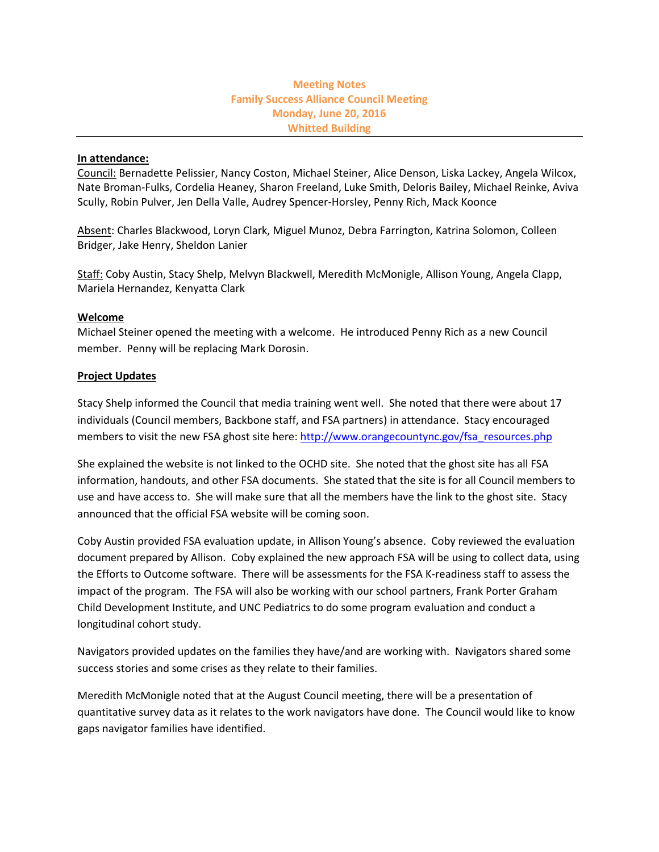## **Meeting Notes Family Success Alliance Council Meeting Monday, June 20, 2016 Whitted Building**

### **In attendance:**

Council: Bernadette Pelissier, Nancy Coston, Michael Steiner, Alice Denson, Liska Lackey, Angela Wilcox, Nate Broman-Fulks, Cordelia Heaney, Sharon Freeland, Luke Smith, Deloris Bailey, Michael Reinke, Aviva Scully, Robin Pulver, Jen Della Valle, Audrey Spencer-Horsley, Penny Rich, Mack Koonce

Absent: Charles Blackwood, Loryn Clark, Miguel Munoz, Debra Farrington, Katrina Solomon, Colleen Bridger, Jake Henry, Sheldon Lanier

Staff: Coby Austin, Stacy Shelp, Melvyn Blackwell, Meredith McMonigle, Allison Young, Angela Clapp, Mariela Hernandez, Kenyatta Clark

#### **Welcome**

Michael Steiner opened the meeting with a welcome. He introduced Penny Rich as a new Council member. Penny will be replacing Mark Dorosin.

#### **Project Updates**

Stacy Shelp informed the Council that media training went well. She noted that there were about 17 individuals (Council members, Backbone staff, and FSA partners) in attendance. Stacy encouraged members to visit the new FSA ghost site here: [http://www.orangecountync.gov/fsa\\_resources.php](http://www.orangecountync.gov/fsa_resources.php)

She explained the website is not linked to the OCHD site. She noted that the ghost site has all FSA information, handouts, and other FSA documents. She stated that the site is for all Council members to use and have access to. She will make sure that all the members have the link to the ghost site. Stacy announced that the official FSA website will be coming soon.

Coby Austin provided FSA evaluation update, in Allison Young's absence. Coby reviewed the evaluation document prepared by Allison. Coby explained the new approach FSA will be using to collect data, using the Efforts to Outcome software. There will be assessments for the FSA K-readiness staff to assess the impact of the program. The FSA will also be working with our school partners, Frank Porter Graham Child Development Institute, and UNC Pediatrics to do some program evaluation and conduct a longitudinal cohort study.

Navigators provided updates on the families they have/and are working with. Navigators shared some success stories and some crises as they relate to their families.

Meredith McMonigle noted that at the August Council meeting, there will be a presentation of quantitative survey data as it relates to the work navigators have done. The Council would like to know gaps navigator families have identified.